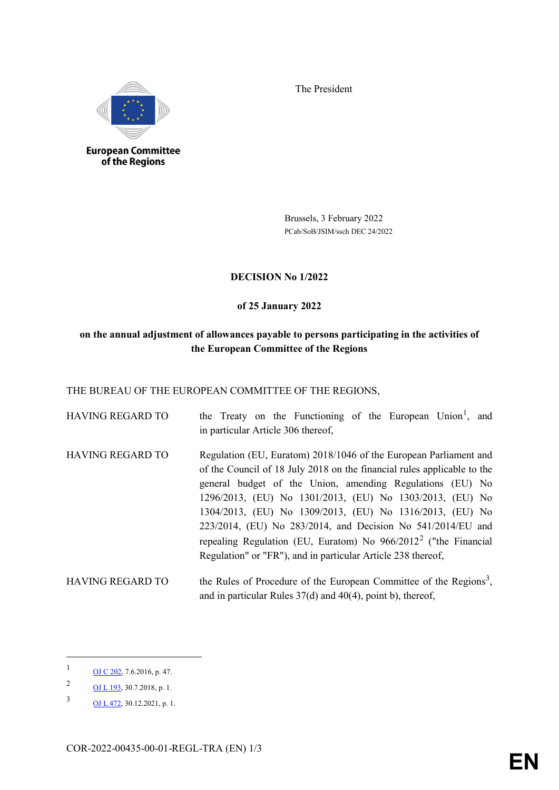The President



**European Committee** of the Regions

> Brussels, 3 February 2022 PCab/SoB/JSIM/ssch DEC 24/2022

## **DECISION No 1/2022**

### **of 25 January 2022**

# **on the annual adjustment of allowances payable to persons participating in the activities of the European Committee of the Regions**

THE BUREAU OF THE EUROPEAN COMMITTEE OF THE REGIONS,

| <b>HAVING REGARD TO</b> | the Treaty on the Functioning of the European Union <sup>1</sup> , and<br>in particular Article 306 thereof,                                                                                                                                                                                                                                                                                                                                                                                                                           |
|-------------------------|----------------------------------------------------------------------------------------------------------------------------------------------------------------------------------------------------------------------------------------------------------------------------------------------------------------------------------------------------------------------------------------------------------------------------------------------------------------------------------------------------------------------------------------|
| <b>HAVING REGARD TO</b> | Regulation (EU, Euratom) 2018/1046 of the European Parliament and<br>of the Council of 18 July 2018 on the financial rules applicable to the<br>general budget of the Union, amending Regulations (EU) No<br>1296/2013, (EU) No 1301/2013, (EU) No 1303/2013, (EU) No<br>1304/2013, (EU) No 1309/2013, (EU) No 1316/2013, (EU) No<br>223/2014, (EU) No 283/2014, and Decision No 541/2014/EU and<br>repealing Regulation (EU, Euratom) No $966/2012^2$ ("the Financial<br>Regulation" or "FR"), and in particular Article 238 thereof, |

HAVING REGARD TO the Rules of Procedure of the European Committee of the Regions<sup>[3](#page-0-2)</sup>, and in particular Rules 37(d) and 40(4), point b), thereof,

 $\overline{a}$ 

<span id="page-0-0"></span> $1 \qquad \qquad \frac{\text{OJ C 202}}{\text{OJ C 202}}$ , 7.6.2016, p. 47.

<span id="page-0-1"></span><sup>2</sup> [OJ L 193,](https://eur-lex.europa.eu/legal-content/EN/TXT/?uri=OJ:L:2018:193:TOC) 30.7.2018, p. 1.

<span id="page-0-2"></span><sup>3</sup> [OJ L 472,](https://eur-lex.europa.eu/LexUriServ/LexUriServ.do?uri=OJ:L:2021:472:SOM:EN:HTML) 30.12.2021, p. 1.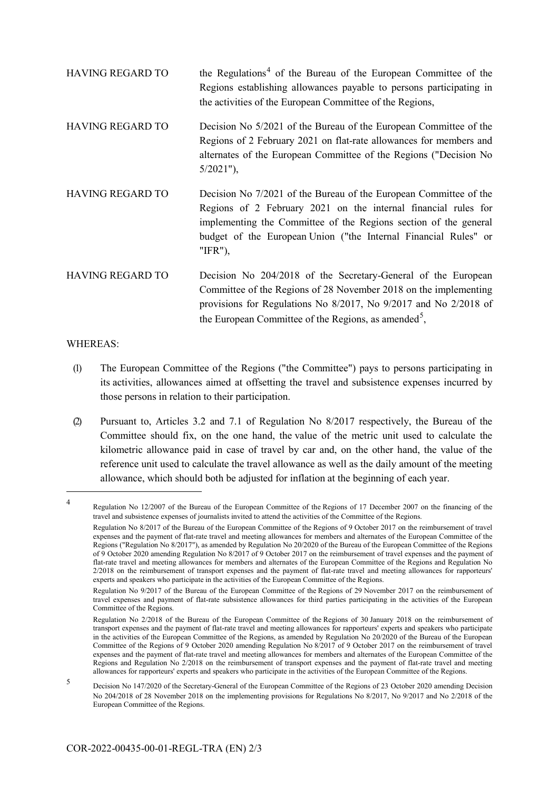| <b>HAVING REGARD TO</b> | the Regulations <sup>4</sup> of the Bureau of the European Committee of the<br>Regions establishing allowances payable to persons participating in<br>the activities of the European Committee of the Regions,                                                                        |
|-------------------------|---------------------------------------------------------------------------------------------------------------------------------------------------------------------------------------------------------------------------------------------------------------------------------------|
| <b>HAVING REGARD TO</b> | Decision No 5/2021 of the Bureau of the European Committee of the<br>Regions of 2 February 2021 on flat-rate allowances for members and<br>alternates of the European Committee of the Regions ("Decision No<br>$5/2021$ "),                                                          |
| HAVING REGARD TO        | Decision No 7/2021 of the Bureau of the European Committee of the<br>Regions of 2 February 2021 on the internal financial rules for<br>implementing the Committee of the Regions section of the general<br>budget of the European Union ("the Internal Financial Rules" or<br>"IFR"), |
| <b>HAVING REGARD TO</b> | Decision No 204/2018 of the Secretary-General of the European<br>Committee of the Regions of 28 November 2018 on the implementing<br>provisions for Regulations No 8/2017, No 9/2017 and No 2/2018 of<br>the European Committee of the Regions, as amended <sup>5</sup> ,             |

#### WHEREAS:

 $\overline{a}$ 

(1) The European Committee of the Regions ("the Committee") pays to persons participating in its activities, allowances aimed at offsetting the travel and subsistence expenses incurred by those persons in relation to their participation.

(2) Pursuant to, Articles 3.2 and 7.1 of Regulation No 8/2017 respectively, the Bureau of the Committee should fix, on the one hand, the value of the metric unit used to calculate the kilometric allowance paid in case of travel by car and, on the other hand, the value of the reference unit used to calculate the travel allowance as well as the daily amount of the meeting allowance, which should both be adjusted for inflation at the beginning of each year.

<span id="page-1-0"></span><sup>4</sup> Regulation No 12/2007 of the Bureau of the European Committee of the Regions of 17 December 2007 on the financing of the travel and subsistence expenses of journalists invited to attend the activities of the Committee of the Regions.

Regulation No 8/2017 of the Bureau of the European Committee of the Regions of 9 October 2017 on the reimbursement of travel expenses and the payment of flat-rate travel and meeting allowances for members and alternates of the European Committee of the Regions ("Regulation No 8/2017"), as amended by Regulation No 20/2020 of the Bureau of the European Committee of the Regions of 9 October 2020 amending Regulation No 8/2017 of 9 October 2017 on the reimbursement of travel expenses and the payment of flat-rate travel and meeting allowances for members and alternates of the European Committee of the Regions and Regulation No 2/2018 on the reimbursement of transport expenses and the payment of flat-rate travel and meeting allowances for rapporteurs' experts and speakers who participate in the activities of the European Committee of the Regions.

Regulation No 9/2017 of the Bureau of the European Committee of the Regions of 29 November 2017 on the reimbursement of travel expenses and payment of flat-rate subsistence allowances for third parties participating in the activities of the European Committee of the Regions.

Regulation No 2/2018 of the Bureau of the European Committee of the Regions of 30 January 2018 on the reimbursement of transport expenses and the payment of flat-rate travel and meeting allowances for rapporteurs' experts and speakers who participate in the activities of the European Committee of the Regions, as amended by Regulation No 20/2020 of the Bureau of the European Committee of the Regions of 9 October 2020 amending Regulation No 8/2017 of 9 October 2017 on the reimbursement of travel expenses and the payment of flat-rate travel and meeting allowances for members and alternates of the European Committee of the Regions and Regulation No 2/2018 on the reimbursement of transport expenses and the payment of flat-rate travel and meeting allowances for rapporteurs' experts and speakers who participate in the activities of the European Committee of the Regions.

<span id="page-1-1"></span><sup>5</sup> Decision No 147/2020 of the Secretary-General of the European Committee of the Regions of 23 October 2020 amending Decision No 204/2018 of 28 November 2018 on the implementing provisions for Regulations No 8/2017, No 9/2017 and No 2/2018 of the European Committee of the Regions.